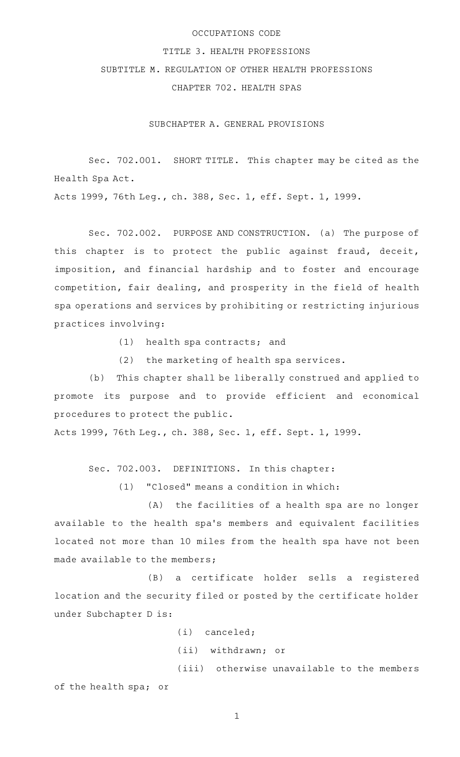## OCCUPATIONS CODE

## TITLE 3. HEALTH PROFESSIONS

# SUBTITLE M. REGULATION OF OTHER HEALTH PROFESSIONS

CHAPTER 702. HEALTH SPAS

SUBCHAPTER A. GENERAL PROVISIONS

Sec. 702.001. SHORT TITLE. This chapter may be cited as the Health Spa Act.

Acts 1999, 76th Leg., ch. 388, Sec. 1, eff. Sept. 1, 1999.

Sec. 702.002. PURPOSE AND CONSTRUCTION. (a) The purpose of this chapter is to protect the public against fraud, deceit, imposition, and financial hardship and to foster and encourage competition, fair dealing, and prosperity in the field of health spa operations and services by prohibiting or restricting injurious practices involving:

 $(1)$  health spa contracts; and

(2) the marketing of health spa services.

(b) This chapter shall be liberally construed and applied to promote its purpose and to provide efficient and economical procedures to protect the public.

Acts 1999, 76th Leg., ch. 388, Sec. 1, eff. Sept. 1, 1999.

Sec. 702.003. DEFINITIONS. In this chapter:

 $(1)$  "Closed" means a condition in which:

(A) the facilities of a health spa are no longer available to the health spa's members and equivalent facilities located not more than 10 miles from the health spa have not been made available to the members;

(B) a certificate holder sells a registered location and the security filed or posted by the certificate holder under Subchapter D is:

> $(i)$  canceled; (ii) withdrawn; or

(iii) otherwise unavailable to the members of the health spa; or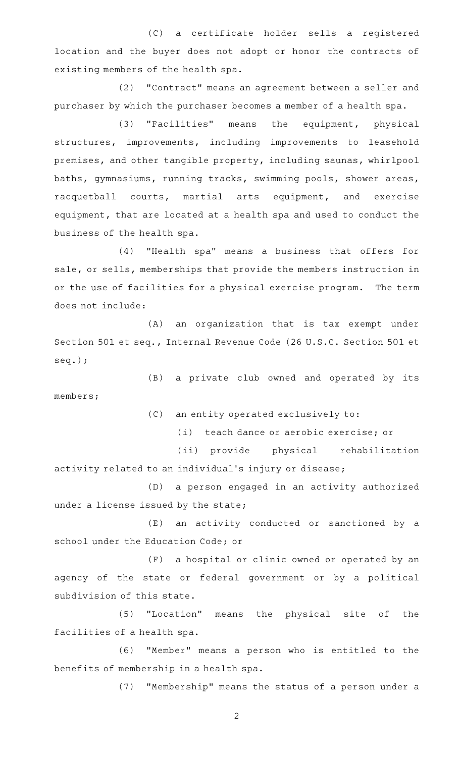(C) a certificate holder sells a registered location and the buyer does not adopt or honor the contracts of existing members of the health spa.

(2) "Contract" means an agreement between a seller and purchaser by which the purchaser becomes a member of a health spa.

(3) "Facilities" means the equipment, physical structures, improvements, including improvements to leasehold premises, and other tangible property, including saunas, whirlpool baths, gymnasiums, running tracks, swimming pools, shower areas, racquetball courts, martial arts equipment, and exercise equipment, that are located at a health spa and used to conduct the business of the health spa.

(4) "Health spa" means a business that offers for sale, or sells, memberships that provide the members instruction in or the use of facilities for a physical exercise program. The term does not include:

(A) an organization that is tax exempt under Section 501 et seq., Internal Revenue Code (26 U.S.C. Section 501 et seq.);

(B) a private club owned and operated by its members;

(C) an entity operated exclusively to:

(i) teach dance or aerobic exercise; or

(ii) provide physical rehabilitation activity related to an individual 's injury or disease;

(D) a person engaged in an activity authorized under a license issued by the state;

(E) an activity conducted or sanctioned by a school under the Education Code; or

(F) a hospital or clinic owned or operated by an agency of the state or federal government or by a political subdivision of this state.

(5) "Location" means the physical site of the facilities of a health spa.

(6) "Member" means a person who is entitled to the benefits of membership in a health spa.

(7) "Membership" means the status of a person under a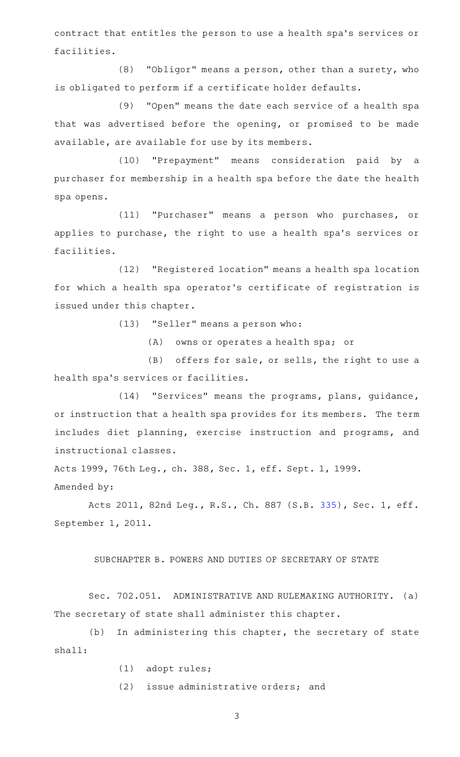contract that entitles the person to use a health spa's services or facilities.

(8) "Obligor" means a person, other than a surety, who is obligated to perform if a certificate holder defaults.

(9) "Open" means the date each service of a health spa that was advertised before the opening, or promised to be made available, are available for use by its members.

(10) "Prepayment" means consideration paid by a purchaser for membership in a health spa before the date the health spa opens.

(11) "Purchaser" means a person who purchases, or applies to purchase, the right to use a health spa's services or facilities.

(12) "Registered location" means a health spa location for which a health spa operator 's certificate of registration is issued under this chapter.

(13) "Seller" means a person who:

 $(A)$  owns or operates a health spa; or

(B) offers for sale, or sells, the right to use a health spa's services or facilities.

(14) "Services" means the programs, plans, guidance, or instruction that a health spa provides for its members. The term includes diet planning, exercise instruction and programs, and instructional classes.

Acts 1999, 76th Leg., ch. 388, Sec. 1, eff. Sept. 1, 1999.

Amended by:

Acts 2011, 82nd Leg., R.S., Ch. 887 (S.B. [335](http://www.legis.state.tx.us/tlodocs/82R/billtext/html/SB00335F.HTM)), Sec. 1, eff. September 1, 2011.

# SUBCHAPTER B. POWERS AND DUTIES OF SECRETARY OF STATE

Sec. 702.051. ADMINISTRATIVE AND RULEMAKING AUTHORITY. (a) The secretary of state shall administer this chapter.

 $(b)$  In administering this chapter, the secretary of state shall:

- (1) adopt rules;
- $(2)$  issue administrative orders; and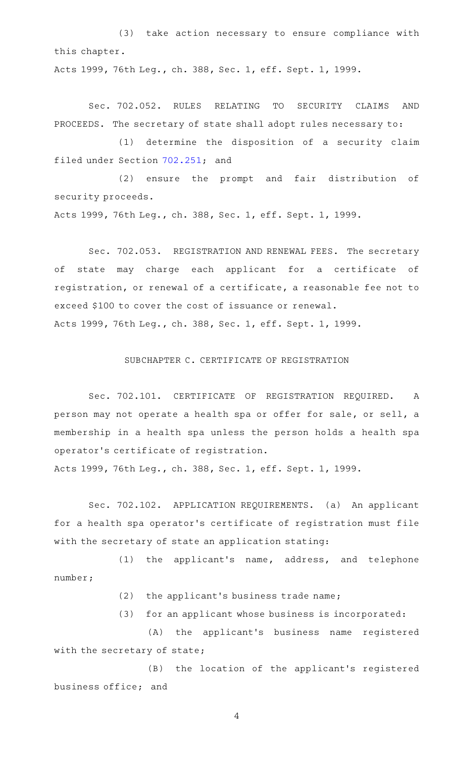(3) take action necessary to ensure compliance with this chapter.

Acts 1999, 76th Leg., ch. 388, Sec. 1, eff. Sept. 1, 1999.

Sec. 702.052. RULES RELATING TO SECURITY CLAIMS AND PROCEEDS. The secretary of state shall adopt rules necessary to:

(1) determine the disposition of a security claim filed under Section [702.251](http://www.statutes.legis.state.tx.us/GetStatute.aspx?Code=OC&Value=702.251); and

(2) ensure the prompt and fair distribution of security proceeds.

Acts 1999, 76th Leg., ch. 388, Sec. 1, eff. Sept. 1, 1999.

Sec. 702.053. REGISTRATION AND RENEWAL FEES. The secretary of state may charge each applicant for a certificate of registration, or renewal of a certificate, a reasonable fee not to exceed \$100 to cover the cost of issuance or renewal. Acts 1999, 76th Leg., ch. 388, Sec. 1, eff. Sept. 1, 1999.

### SUBCHAPTER C. CERTIFICATE OF REGISTRATION

Sec. 702.101. CERTIFICATE OF REGISTRATION REQUIRED. A person may not operate a health spa or offer for sale, or sell, a membership in a health spa unless the person holds a health spa operator 's certificate of registration.

Acts 1999, 76th Leg., ch. 388, Sec. 1, eff. Sept. 1, 1999.

Sec. 702.102. APPLICATION REQUIREMENTS. (a) An applicant for a health spa operator 's certificate of registration must file with the secretary of state an application stating:

 $(1)$  the applicant's name, address, and telephone number;

(2) the applicant's business trade name;

(3) for an applicant whose business is incorporated:

(A) the applicant's business name registered with the secretary of state;

(B) the location of the applicant's registered business office; and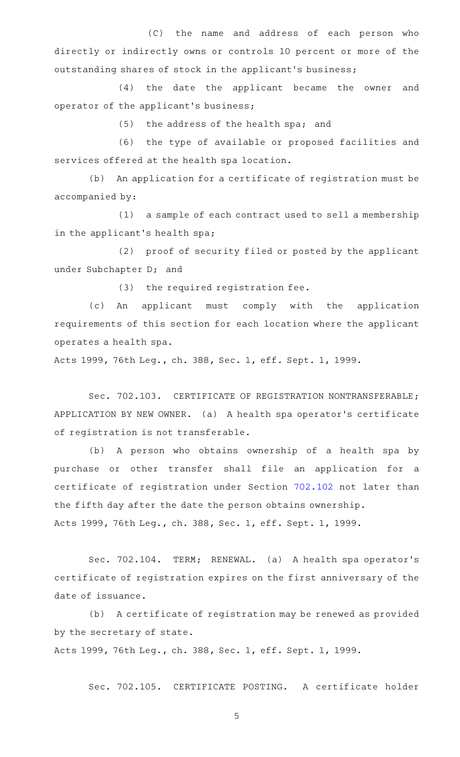(C) the name and address of each person who directly or indirectly owns or controls 10 percent or more of the outstanding shares of stock in the applicant 's business;

(4) the date the applicant became the owner and operator of the applicant 's business;

 $(5)$  the address of the health spa; and

(6) the type of available or proposed facilities and services offered at the health spa location.

(b) An application for a certificate of registration must be accompanied by:

(1) a sample of each contract used to sell a membership in the applicant 's health spa;

(2) proof of security filed or posted by the applicant under Subchapter D; and

 $(3)$  the required registration fee.

(c) An applicant must comply with the application requirements of this section for each location where the applicant operates a health spa.

Acts 1999, 76th Leg., ch. 388, Sec. 1, eff. Sept. 1, 1999.

Sec. 702.103. CERTIFICATE OF REGISTRATION NONTRANSFERABLE; APPLICATION BY NEW OWNER. (a) A health spa operator 's certificate of registration is not transferable.

(b) A person who obtains ownership of a health spa by purchase or other transfer shall file an application for a certificate of registration under Section [702.102](http://www.statutes.legis.state.tx.us/GetStatute.aspx?Code=OC&Value=702.102) not later than the fifth day after the date the person obtains ownership. Acts 1999, 76th Leg., ch. 388, Sec. 1, eff. Sept. 1, 1999.

Sec. 702.104. TERM; RENEWAL. (a) A health spa operator's certificate of registration expires on the first anniversary of the date of issuance.

(b) A certificate of registration may be renewed as provided by the secretary of state.

Acts 1999, 76th Leg., ch. 388, Sec. 1, eff. Sept. 1, 1999.

Sec. 702.105. CERTIFICATE POSTING. A certificate holder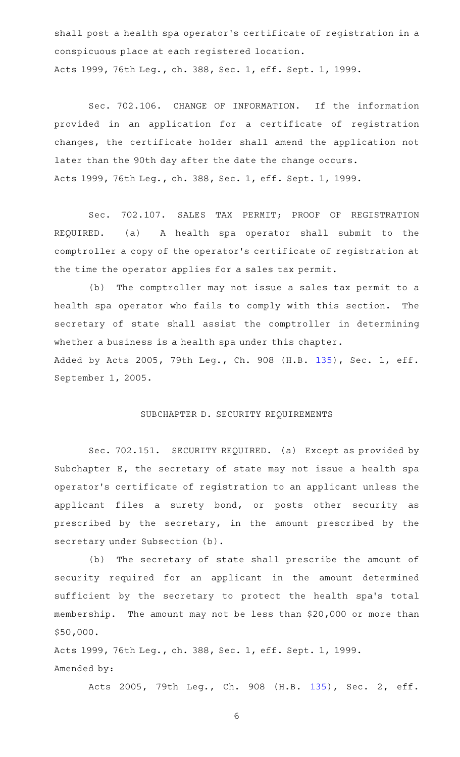shall post a health spa operator 's certificate of registration in a conspicuous place at each registered location. Acts 1999, 76th Leg., ch. 388, Sec. 1, eff. Sept. 1, 1999.

Sec. 702.106. CHANGE OF INFORMATION. If the information provided in an application for a certificate of registration changes, the certificate holder shall amend the application not later than the 90th day after the date the change occurs. Acts 1999, 76th Leg., ch. 388, Sec. 1, eff. Sept. 1, 1999.

Sec. 702.107. SALES TAX PERMIT; PROOF OF REGISTRATION REQUIRED. (a) A health spa operator shall submit to the comptroller a copy of the operator 's certificate of registration at the time the operator applies for a sales tax permit.

(b) The comptroller may not issue a sales tax permit to a health spa operator who fails to comply with this section. The secretary of state shall assist the comptroller in determining whether a business is a health spa under this chapter. Added by Acts 2005, 79th Leg., Ch. 908 (H.B. [135](http://www.legis.state.tx.us/tlodocs/79R/billtext/html/HB00135F.HTM)), Sec. 1, eff. September 1, 2005.

#### SUBCHAPTER D. SECURITY REQUIREMENTS

Sec. 702.151. SECURITY REQUIRED. (a) Except as provided by Subchapter E, the secretary of state may not issue a health spa operator 's certificate of registration to an applicant unless the applicant files a surety bond, or posts other security as prescribed by the secretary, in the amount prescribed by the secretary under Subsection (b).

(b) The secretary of state shall prescribe the amount of security required for an applicant in the amount determined sufficient by the secretary to protect the health spa's total membership. The amount may not be less than \$20,000 or more than \$50,000.

Acts 1999, 76th Leg., ch. 388, Sec. 1, eff. Sept. 1, 1999. Amended by:

Acts 2005, 79th Leg., Ch. 908 (H.B. [135\)](http://www.legis.state.tx.us/tlodocs/79R/billtext/html/HB00135F.HTM), Sec. 2, eff.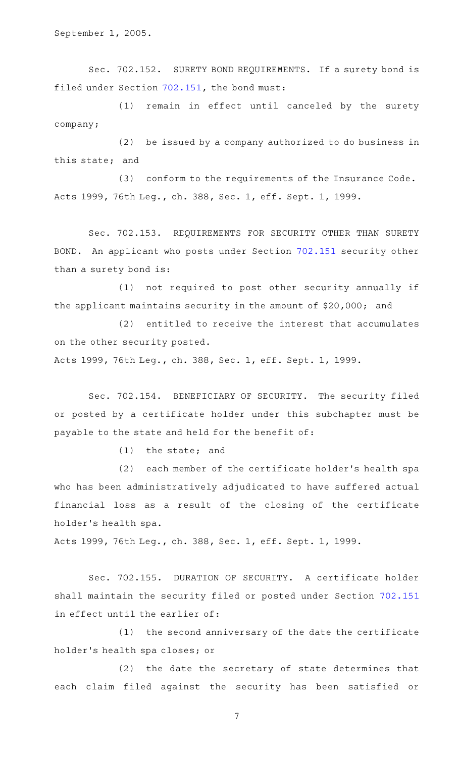September 1, 2005.

Sec. 702.152. SURETY BOND REQUIREMENTS. If a surety bond is filed under Section [702.151](http://www.statutes.legis.state.tx.us/GetStatute.aspx?Code=OC&Value=702.151), the bond must:

(1) remain in effect until canceled by the surety company;

 $(2)$  be issued by a company authorized to do business in this state; and

(3) conform to the requirements of the Insurance Code. Acts 1999, 76th Leg., ch. 388, Sec. 1, eff. Sept. 1, 1999.

Sec. 702.153. REQUIREMENTS FOR SECURITY OTHER THAN SURETY BOND. An applicant who posts under Section [702.151](http://www.statutes.legis.state.tx.us/GetStatute.aspx?Code=OC&Value=702.151) security other than a surety bond is:

(1) not required to post other security annually if the applicant maintains security in the amount of \$20,000; and

(2) entitled to receive the interest that accumulates on the other security posted.

Acts 1999, 76th Leg., ch. 388, Sec. 1, eff. Sept. 1, 1999.

Sec. 702.154. BENEFICIARY OF SECURITY. The security filed or posted by a certificate holder under this subchapter must be payable to the state and held for the benefit of:

 $(1)$  the state; and

(2) each member of the certificate holder's health spa who has been administratively adjudicated to have suffered actual financial loss as a result of the closing of the certificate holder 's health spa.

Acts 1999, 76th Leg., ch. 388, Sec. 1, eff. Sept. 1, 1999.

Sec. 702.155. DURATION OF SECURITY. A certificate holder shall maintain the security filed or posted under Section [702.151](http://www.statutes.legis.state.tx.us/GetStatute.aspx?Code=OC&Value=702.151) in effect until the earlier of:

 $(1)$  the second anniversary of the date the certificate holder 's health spa closes; or

(2) the date the secretary of state determines that each claim filed against the security has been satisfied or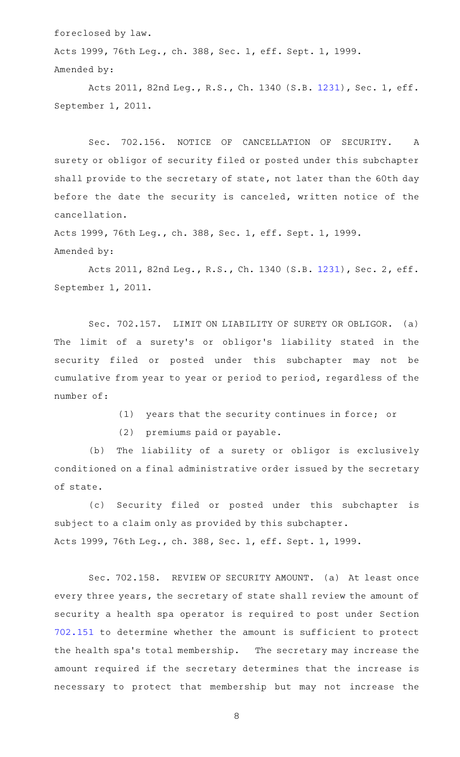foreclosed by law.

Acts 1999, 76th Leg., ch. 388, Sec. 1, eff. Sept. 1, 1999. Amended by:

Acts 2011, 82nd Leg., R.S., Ch. 1340 (S.B. [1231](http://www.legis.state.tx.us/tlodocs/82R/billtext/html/SB01231F.HTM)), Sec. 1, eff. September 1, 2011.

Sec. 702.156. NOTICE OF CANCELLATION OF SECURITY. A surety or obligor of security filed or posted under this subchapter shall provide to the secretary of state, not later than the 60th day before the date the security is canceled, written notice of the cancellation.

Acts 1999, 76th Leg., ch. 388, Sec. 1, eff. Sept. 1, 1999. Amended by:

Acts 2011, 82nd Leg., R.S., Ch. 1340 (S.B. [1231](http://www.legis.state.tx.us/tlodocs/82R/billtext/html/SB01231F.HTM)), Sec. 2, eff. September 1, 2011.

Sec. 702.157. LIMIT ON LIABILITY OF SURETY OR OBLIGOR. (a) The limit of a surety's or obligor's liability stated in the security filed or posted under this subchapter may not be cumulative from year to year or period to period, regardless of the number of:

(1) years that the security continues in force; or

(2) premiums paid or payable.

(b) The liability of a surety or obligor is exclusively conditioned on a final administrative order issued by the secretary of state.

(c) Security filed or posted under this subchapter is subject to a claim only as provided by this subchapter. Acts 1999, 76th Leg., ch. 388, Sec. 1, eff. Sept. 1, 1999.

Sec. 702.158. REVIEW OF SECURITY AMOUNT. (a) At least once every three years, the secretary of state shall review the amount of security a health spa operator is required to post under Section [702.151](http://www.statutes.legis.state.tx.us/GetStatute.aspx?Code=OC&Value=702.151) to determine whether the amount is sufficient to protect the health spa's total membership. The secretary may increase the amount required if the secretary determines that the increase is necessary to protect that membership but may not increase the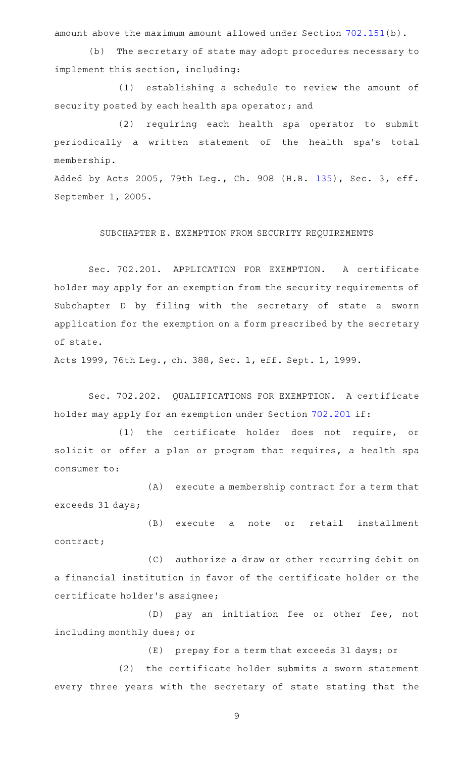amount above the maximum amount allowed under Section [702.151](http://www.statutes.legis.state.tx.us/GetStatute.aspx?Code=OC&Value=702.151)(b).

(b) The secretary of state may adopt procedures necessary to implement this section, including:

(1) establishing a schedule to review the amount of security posted by each health spa operator; and

(2) requiring each health spa operator to submit periodically a written statement of the health spa's total membership.

Added by Acts 2005, 79th Leg., Ch. 908 (H.B. [135](http://www.legis.state.tx.us/tlodocs/79R/billtext/html/HB00135F.HTM)), Sec. 3, eff. September 1, 2005.

SUBCHAPTER E. EXEMPTION FROM SECURITY REQUIREMENTS

Sec. 702.201. APPLICATION FOR EXEMPTION. A certificate holder may apply for an exemption from the security requirements of Subchapter D by filing with the secretary of state a sworn application for the exemption on a form prescribed by the secretary of state.

Acts 1999, 76th Leg., ch. 388, Sec. 1, eff. Sept. 1, 1999.

Sec. 702.202. QUALIFICATIONS FOR EXEMPTION. A certificate holder may apply for an exemption under Section [702.201](http://www.statutes.legis.state.tx.us/GetStatute.aspx?Code=OC&Value=702.201) if:

(1) the certificate holder does not require, or solicit or offer a plan or program that requires, a health spa consumer to:

(A) execute a membership contract for a term that exceeds 31 days;

(B) execute a note or retail installment contract;

(C) authorize a draw or other recurring debit on a financial institution in favor of the certificate holder or the certificate holder 's assignee;

(D) pay an initiation fee or other fee, not including monthly dues; or

(E) prepay for a term that exceeds 31 days; or

 $(2)$  the certificate holder submits a sworn statement every three years with the secretary of state stating that the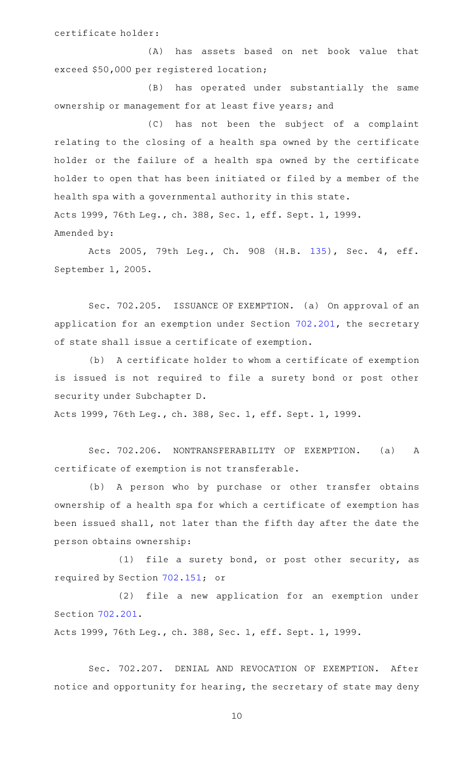(A) has assets based on net book value that exceed \$50,000 per registered location;

(B) has operated under substantially the same ownership or management for at least five years; and

(C) has not been the subject of a complaint relating to the closing of a health spa owned by the certificate holder or the failure of a health spa owned by the certificate holder to open that has been initiated or filed by a member of the health spa with a governmental authority in this state. Acts 1999, 76th Leg., ch. 388, Sec. 1, eff. Sept. 1, 1999. Amended by:

Acts 2005, 79th Leg., Ch. 908 (H.B. [135\)](http://www.legis.state.tx.us/tlodocs/79R/billtext/html/HB00135F.HTM), Sec. 4, eff. September 1, 2005.

Sec. 702.205. ISSUANCE OF EXEMPTION. (a) On approval of an application for an exemption under Section [702.201,](http://www.statutes.legis.state.tx.us/GetStatute.aspx?Code=OC&Value=702.201) the secretary of state shall issue a certificate of exemption.

(b) A certificate holder to whom a certificate of exemption is issued is not required to file a surety bond or post other security under Subchapter D.

Acts 1999, 76th Leg., ch. 388, Sec. 1, eff. Sept. 1, 1999.

Sec. 702.206. NONTRANSFERABILITY OF EXEMPTION. (a) A certificate of exemption is not transferable.

(b) A person who by purchase or other transfer obtains ownership of a health spa for which a certificate of exemption has been issued shall, not later than the fifth day after the date the person obtains ownership:

(1) file a surety bond, or post other security, as required by Section [702.151](http://www.statutes.legis.state.tx.us/GetStatute.aspx?Code=OC&Value=702.151); or

(2) file a new application for an exemption under Section [702.201.](http://www.statutes.legis.state.tx.us/GetStatute.aspx?Code=OC&Value=702.201)

Acts 1999, 76th Leg., ch. 388, Sec. 1, eff. Sept. 1, 1999.

Sec. 702.207. DENIAL AND REVOCATION OF EXEMPTION. After notice and opportunity for hearing, the secretary of state may deny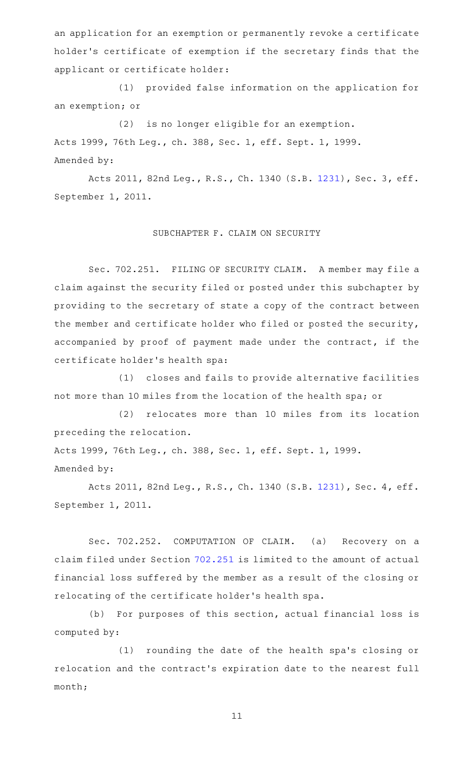an application for an exemption or permanently revoke a certificate holder 's certificate of exemption if the secretary finds that the applicant or certificate holder:

(1) provided false information on the application for an exemption; or

(2) is no longer eligible for an exemption. Acts 1999, 76th Leg., ch. 388, Sec. 1, eff. Sept. 1, 1999. Amended by:

Acts 2011, 82nd Leg., R.S., Ch. 1340 (S.B. [1231](http://www.legis.state.tx.us/tlodocs/82R/billtext/html/SB01231F.HTM)), Sec. 3, eff. September 1, 2011.

## SUBCHAPTER F. CLAIM ON SECURITY

Sec. 702.251. FILING OF SECURITY CLAIM. A member may file a claim against the security filed or posted under this subchapter by providing to the secretary of state a copy of the contract between the member and certificate holder who filed or posted the security, accompanied by proof of payment made under the contract, if the certificate holder 's health spa:

 $(1)$  closes and fails to provide alternative facilities not more than 10 miles from the location of the health spa; or

(2) relocates more than 10 miles from its location preceding the relocation.

Acts 1999, 76th Leg., ch. 388, Sec. 1, eff. Sept. 1, 1999. Amended by:

Acts 2011, 82nd Leg., R.S., Ch. 1340 (S.B. [1231](http://www.legis.state.tx.us/tlodocs/82R/billtext/html/SB01231F.HTM)), Sec. 4, eff. September 1, 2011.

Sec. 702.252. COMPUTATION OF CLAIM. (a) Recovery on a claim filed under Section [702.251](http://www.statutes.legis.state.tx.us/GetStatute.aspx?Code=OC&Value=702.251) is limited to the amount of actual financial loss suffered by the member as a result of the closing or relocating of the certificate holder 's health spa.

(b) For purposes of this section, actual financial loss is computed by:

(1) rounding the date of the health spa's closing or relocation and the contract 's expiration date to the nearest full month;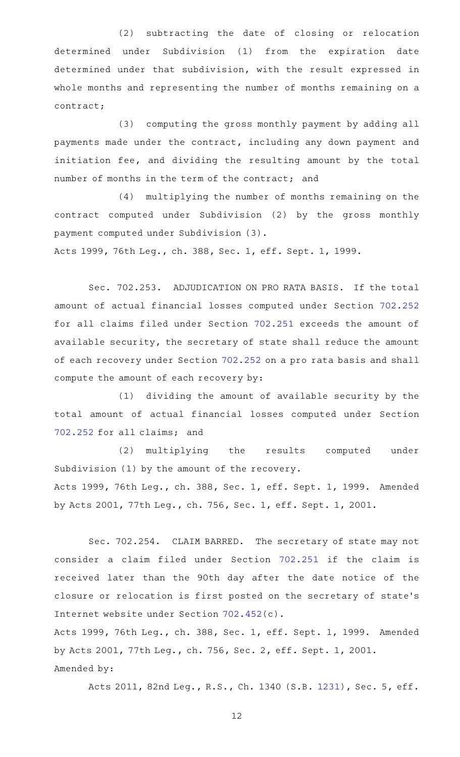(2) subtracting the date of closing or relocation determined under Subdivision (1) from the expiration date determined under that subdivision, with the result expressed in whole months and representing the number of months remaining on a contract;

(3) computing the gross monthly payment by adding all payments made under the contract, including any down payment and initiation fee, and dividing the resulting amount by the total number of months in the term of the contract; and

(4) multiplying the number of months remaining on the contract computed under Subdivision (2) by the gross monthly payment computed under Subdivision (3).

Acts 1999, 76th Leg., ch. 388, Sec. 1, eff. Sept. 1, 1999.

Sec. 702.253. ADJUDICATION ON PRO RATA BASIS. If the total amount of actual financial losses computed under Section [702.252](http://www.statutes.legis.state.tx.us/GetStatute.aspx?Code=OC&Value=702.252) for all claims filed under Section [702.251](http://www.statutes.legis.state.tx.us/GetStatute.aspx?Code=OC&Value=702.251) exceeds the amount of available security, the secretary of state shall reduce the amount of each recovery under Section [702.252](http://www.statutes.legis.state.tx.us/GetStatute.aspx?Code=OC&Value=702.252) on a pro rata basis and shall compute the amount of each recovery by:

(1) dividing the amount of available security by the total amount of actual financial losses computed under Section [702.252](http://www.statutes.legis.state.tx.us/GetStatute.aspx?Code=OC&Value=702.252) for all claims; and

(2) multiplying the results computed under Subdivision (1) by the amount of the recovery. Acts 1999, 76th Leg., ch. 388, Sec. 1, eff. Sept. 1, 1999. Amended by Acts 2001, 77th Leg., ch. 756, Sec. 1, eff. Sept. 1, 2001.

Sec. 702.254. CLAIM BARRED. The secretary of state may not consider a claim filed under Section [702.251](http://www.statutes.legis.state.tx.us/GetStatute.aspx?Code=OC&Value=702.251) if the claim is received later than the 90th day after the date notice of the closure or relocation is first posted on the secretary of state 's Internet website under Section [702.452\(](http://www.statutes.legis.state.tx.us/GetStatute.aspx?Code=OC&Value=702.452)c).

Acts 1999, 76th Leg., ch. 388, Sec. 1, eff. Sept. 1, 1999. Amended by Acts 2001, 77th Leg., ch. 756, Sec. 2, eff. Sept. 1, 2001. Amended by:

Acts 2011, 82nd Leg., R.S., Ch. 1340 (S.B. [1231](http://www.legis.state.tx.us/tlodocs/82R/billtext/html/SB01231F.HTM)), Sec. 5, eff.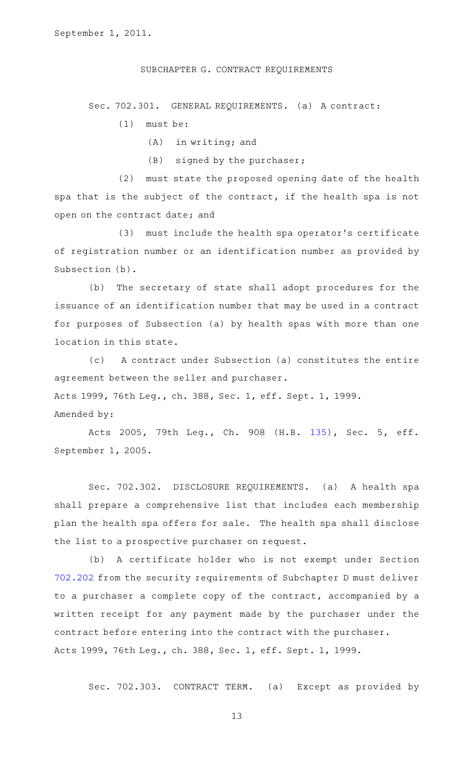SUBCHAPTER G. CONTRACT REQUIREMENTS

Sec. 702.301. GENERAL REQUIREMENTS. (a) A contract:

 $(1)$  must be:

 $(A)$  in writing; and

 $(B)$  signed by the purchaser;

 $(2)$  must state the proposed opening date of the health spa that is the subject of the contract, if the health spa is not open on the contract date; and

(3) must include the health spa operator's certificate of registration number or an identification number as provided by Subsection (b).

(b) The secretary of state shall adopt procedures for the issuance of an identification number that may be used in a contract for purposes of Subsection (a) by health spas with more than one location in this state.

(c) A contract under Subsection (a) constitutes the entire agreement between the seller and purchaser. Acts 1999, 76th Leg., ch. 388, Sec. 1, eff. Sept. 1, 1999. Amended by:

Acts 2005, 79th Leg., Ch. 908 (H.B. [135\)](http://www.legis.state.tx.us/tlodocs/79R/billtext/html/HB00135F.HTM), Sec. 5, eff. September 1, 2005.

Sec. 702.302. DISCLOSURE REQUIREMENTS. (a) A health spa shall prepare a comprehensive list that includes each membership plan the health spa offers for sale. The health spa shall disclose the list to a prospective purchaser on request.

(b) A certificate holder who is not exempt under Section [702.202](http://www.statutes.legis.state.tx.us/GetStatute.aspx?Code=OC&Value=702.202) from the security requirements of Subchapter D must deliver to a purchaser a complete copy of the contract, accompanied by a written receipt for any payment made by the purchaser under the contract before entering into the contract with the purchaser. Acts 1999, 76th Leg., ch. 388, Sec. 1, eff. Sept. 1, 1999.

Sec. 702.303. CONTRACT TERM. (a) Except as provided by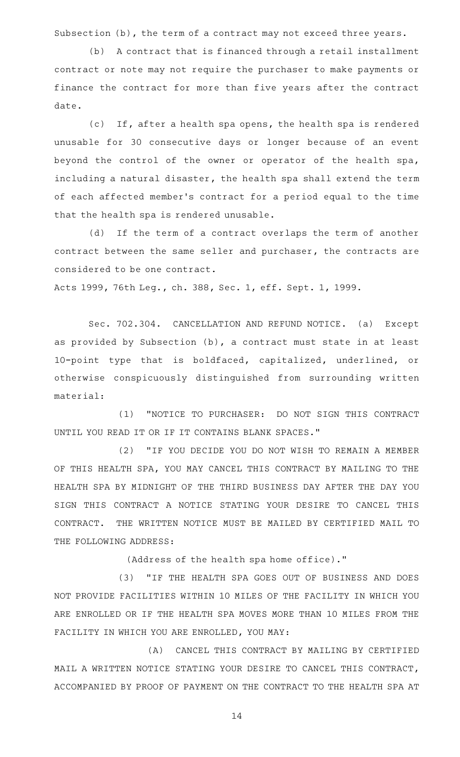Subsection (b), the term of a contract may not exceed three years.

(b) A contract that is financed through a retail installment contract or note may not require the purchaser to make payments or finance the contract for more than five years after the contract date.

(c) If, after a health spa opens, the health spa is rendered unusable for 30 consecutive days or longer because of an event beyond the control of the owner or operator of the health spa, including a natural disaster, the health spa shall extend the term of each affected member 's contract for a period equal to the time that the health spa is rendered unusable.

(d) If the term of a contract overlaps the term of another contract between the same seller and purchaser, the contracts are considered to be one contract.

Acts 1999, 76th Leg., ch. 388, Sec. 1, eff. Sept. 1, 1999.

Sec. 702.304. CANCELLATION AND REFUND NOTICE. (a) Except as provided by Subsection (b), a contract must state in at least 10-point type that is boldfaced, capitalized, underlined, or otherwise conspicuously distinguished from surrounding written material:

(1) "NOTICE TO PURCHASER: DO NOT SIGN THIS CONTRACT UNTIL YOU READ IT OR IF IT CONTAINS BLANK SPACES."

(2) "IF YOU DECIDE YOU DO NOT WISH TO REMAIN A MEMBER OF THIS HEALTH SPA, YOU MAY CANCEL THIS CONTRACT BY MAILING TO THE HEALTH SPA BY MIDNIGHT OF THE THIRD BUSINESS DAY AFTER THE DAY YOU SIGN THIS CONTRACT A NOTICE STATING YOUR DESIRE TO CANCEL THIS CONTRACT. THE WRITTEN NOTICE MUST BE MAILED BY CERTIFIED MAIL TO THE FOLLOWING ADDRESS:

(Address of the health spa home office)."

(3) "IF THE HEALTH SPA GOES OUT OF BUSINESS AND DOES NOT PROVIDE FACILITIES WITHIN 10 MILES OF THE FACILITY IN WHICH YOU ARE ENROLLED OR IF THE HEALTH SPA MOVES MORE THAN 10 MILES FROM THE FACILITY IN WHICH YOU ARE ENROLLED, YOU MAY:

(A) CANCEL THIS CONTRACT BY MAILING BY CERTIFIED MAIL A WRITTEN NOTICE STATING YOUR DESIRE TO CANCEL THIS CONTRACT, ACCOMPANIED BY PROOF OF PAYMENT ON THE CONTRACT TO THE HEALTH SPA AT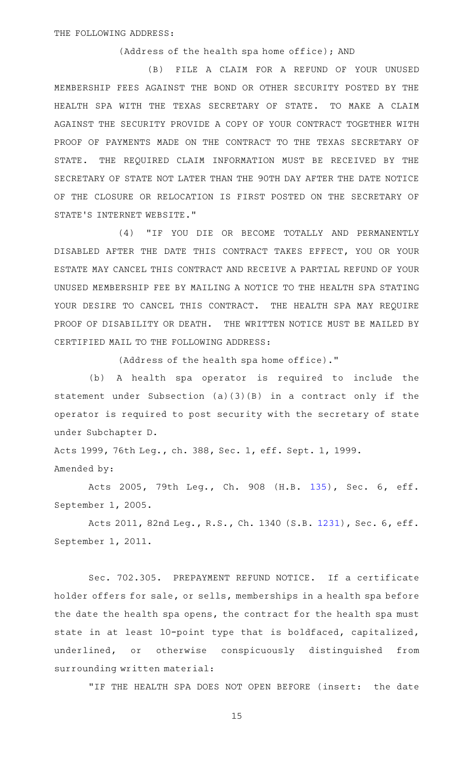(Address of the health spa home office); AND

(B) FILE A CLAIM FOR A REFUND OF YOUR UNUSED MEMBERSHIP FEES AGAINST THE BOND OR OTHER SECURITY POSTED BY THE HEALTH SPA WITH THE TEXAS SECRETARY OF STATE. TO MAKE A CLAIM AGAINST THE SECURITY PROVIDE A COPY OF YOUR CONTRACT TOGETHER WITH PROOF OF PAYMENTS MADE ON THE CONTRACT TO THE TEXAS SECRETARY OF STATE. THE REQUIRED CLAIM INFORMATION MUST BE RECEIVED BY THE SECRETARY OF STATE NOT LATER THAN THE 90TH DAY AFTER THE DATE NOTICE OF THE CLOSURE OR RELOCATION IS FIRST POSTED ON THE SECRETARY OF STATE 'S INTERNET WEBSITE."

(4) "IF YOU DIE OR BECOME TOTALLY AND PERMANENTLY DISABLED AFTER THE DATE THIS CONTRACT TAKES EFFECT, YOU OR YOUR ESTATE MAY CANCEL THIS CONTRACT AND RECEIVE A PARTIAL REFUND OF YOUR UNUSED MEMBERSHIP FEE BY MAILING A NOTICE TO THE HEALTH SPA STATING YOUR DESIRE TO CANCEL THIS CONTRACT. THE HEALTH SPA MAY REQUIRE PROOF OF DISABILITY OR DEATH. THE WRITTEN NOTICE MUST BE MAILED BY CERTIFIED MAIL TO THE FOLLOWING ADDRESS:

(Address of the health spa home office)."

(b)AAA health spa operator is required to include the statement under Subsection (a)(3)(B) in a contract only if the operator is required to post security with the secretary of state under Subchapter D.

Acts 1999, 76th Leg., ch. 388, Sec. 1, eff. Sept. 1, 1999. Amended by:

Acts 2005, 79th Leg., Ch. 908 (H.B. [135\)](http://www.legis.state.tx.us/tlodocs/79R/billtext/html/HB00135F.HTM), Sec. 6, eff. September 1, 2005.

Acts 2011, 82nd Leg., R.S., Ch. 1340 (S.B. [1231](http://www.legis.state.tx.us/tlodocs/82R/billtext/html/SB01231F.HTM)), Sec. 6, eff. September 1, 2011.

Sec. 702.305. PREPAYMENT REFUND NOTICE. If a certificate holder offers for sale, or sells, memberships in a health spa before the date the health spa opens, the contract for the health spa must state in at least 10-point type that is boldfaced, capitalized, underlined, or otherwise conspicuously distinguished from surrounding written material:

"IF THE HEALTH SPA DOES NOT OPEN BEFORE (insert: the date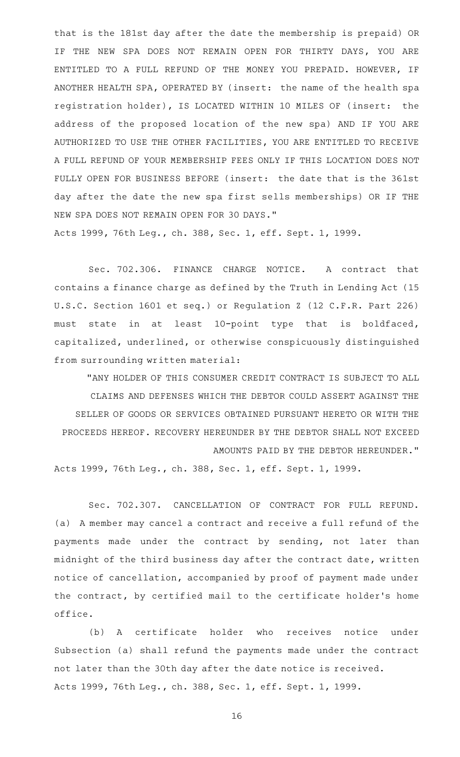that is the 181st day after the date the membership is prepaid) OR IF THE NEW SPA DOES NOT REMAIN OPEN FOR THIRTY DAYS, YOU ARE ENTITLED TO A FULL REFUND OF THE MONEY YOU PREPAID. HOWEVER, IF ANOTHER HEALTH SPA, OPERATED BY (insert: the name of the health spa registration holder), IS LOCATED WITHIN 10 MILES OF (insert: the address of the proposed location of the new spa) AND IF YOU ARE AUTHORIZED TO USE THE OTHER FACILITIES, YOU ARE ENTITLED TO RECEIVE A FULL REFUND OF YOUR MEMBERSHIP FEES ONLY IF THIS LOCATION DOES NOT FULLY OPEN FOR BUSINESS BEFORE (insert: the date that is the 361st day after the date the new spa first sells memberships) OR IF THE NEW SPA DOES NOT REMAIN OPEN FOR 30 DAYS." Acts 1999, 76th Leg., ch. 388, Sec. 1, eff. Sept. 1, 1999.

Sec. 702.306. FINANCE CHARGE NOTICE. A contract that contains a finance charge as defined by the Truth in Lending Act (15 U.S.C. Section 1601 et seq.) or Regulation Z (12 C.F.R. Part 226) must state in at least 10-point type that is boldfaced, capitalized, underlined, or otherwise conspicuously distinguished from surrounding written material:

"ANY HOLDER OF THIS CONSUMER CREDIT CONTRACT IS SUBJECT TO ALL CLAIMS AND DEFENSES WHICH THE DEBTOR COULD ASSERT AGAINST THE SELLER OF GOODS OR SERVICES OBTAINED PURSUANT HERETO OR WITH THE PROCEEDS HEREOF. RECOVERY HEREUNDER BY THE DEBTOR SHALL NOT EXCEED AMOUNTS PAID BY THE DEBTOR HEREUNDER."

Acts 1999, 76th Leg., ch. 388, Sec. 1, eff. Sept. 1, 1999.

Sec. 702.307. CANCELLATION OF CONTRACT FOR FULL REFUND. (a) A member may cancel a contract and receive a full refund of the payments made under the contract by sending, not later than midnight of the third business day after the contract date, written notice of cancellation, accompanied by proof of payment made under the contract, by certified mail to the certificate holder 's home office.

(b) A certificate holder who receives notice under Subsection (a) shall refund the payments made under the contract not later than the 30th day after the date notice is received. Acts 1999, 76th Leg., ch. 388, Sec. 1, eff. Sept. 1, 1999.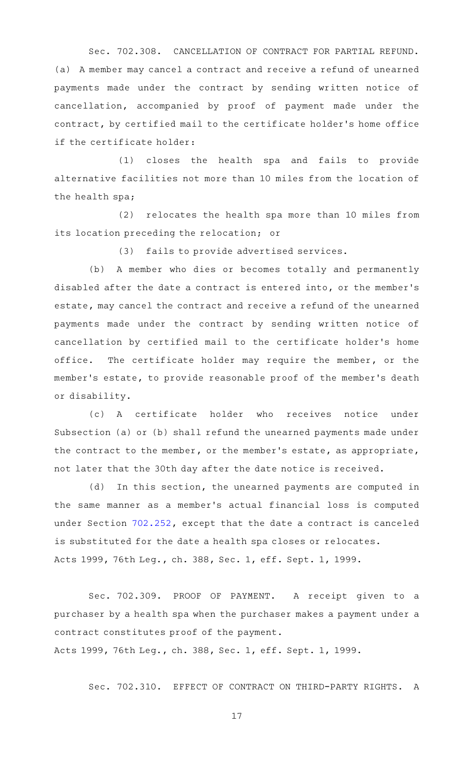Sec. 702.308. CANCELLATION OF CONTRACT FOR PARTIAL REFUND. (a) A member may cancel a contract and receive a refund of unearned payments made under the contract by sending written notice of cancellation, accompanied by proof of payment made under the contract, by certified mail to the certificate holder 's home office if the certificate holder:

(1) closes the health spa and fails to provide alternative facilities not more than 10 miles from the location of the health spa;

(2) relocates the health spa more than 10 miles from its location preceding the relocation; or

(3) fails to provide advertised services.

(b) A member who dies or becomes totally and permanently disabled after the date a contract is entered into, or the member 's estate, may cancel the contract and receive a refund of the unearned payments made under the contract by sending written notice of cancellation by certified mail to the certificate holder 's home office. The certificate holder may require the member, or the member 's estate, to provide reasonable proof of the member 's death or disability.

(c)AAA certificate holder who receives notice under Subsection (a) or (b) shall refund the unearned payments made under the contract to the member, or the member 's estate, as appropriate, not later that the 30th day after the date notice is received.

(d) In this section, the unearned payments are computed in the same manner as a member 's actual financial loss is computed under Section [702.252](http://www.statutes.legis.state.tx.us/GetStatute.aspx?Code=OC&Value=702.252), except that the date a contract is canceled is substituted for the date a health spa closes or relocates. Acts 1999, 76th Leg., ch. 388, Sec. 1, eff. Sept. 1, 1999.

Sec. 702.309. PROOF OF PAYMENT. A receipt given to a purchaser by a health spa when the purchaser makes a payment under a contract constitutes proof of the payment. Acts 1999, 76th Leg., ch. 388, Sec. 1, eff. Sept. 1, 1999.

Sec. 702.310. EFFECT OF CONTRACT ON THIRD-PARTY RIGHTS. A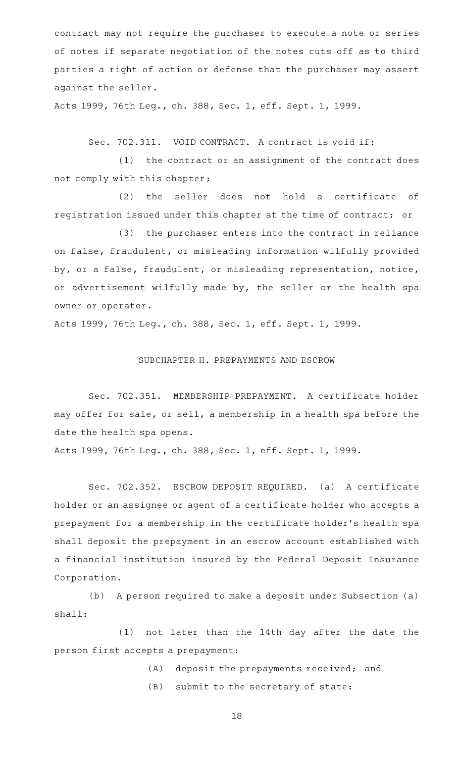contract may not require the purchaser to execute a note or series of notes if separate negotiation of the notes cuts off as to third parties a right of action or defense that the purchaser may assert against the seller.

Acts 1999, 76th Leg., ch. 388, Sec. 1, eff. Sept. 1, 1999.

Sec. 702.311. VOID CONTRACT. A contract is void if:

(1) the contract or an assignment of the contract does not comply with this chapter;

(2) the seller does not hold a certificate of registration issued under this chapter at the time of contract; or

(3) the purchaser enters into the contract in reliance on false, fraudulent, or misleading information wilfully provided by, or a false, fraudulent, or misleading representation, notice, or advertisement wilfully made by, the seller or the health spa owner or operator.

Acts 1999, 76th Leg., ch. 388, Sec. 1, eff. Sept. 1, 1999.

## SUBCHAPTER H. PREPAYMENTS AND ESCROW

Sec. 702.351. MEMBERSHIP PREPAYMENT. A certificate holder may offer for sale, or sell, a membership in a health spa before the date the health spa opens.

Acts 1999, 76th Leg., ch. 388, Sec. 1, eff. Sept. 1, 1999.

Sec. 702.352. ESCROW DEPOSIT REQUIRED. (a) A certificate holder or an assignee or agent of a certificate holder who accepts a prepayment for a membership in the certificate holder 's health spa shall deposit the prepayment in an escrow account established with a financial institution insured by the Federal Deposit Insurance Corporation.

(b) A person required to make a deposit under Subsection (a) shall:

(1) not later than the 14th day after the date the person first accepts a prepayment:

- (A) deposit the prepayments received; and
- (B) submit to the secretary of state: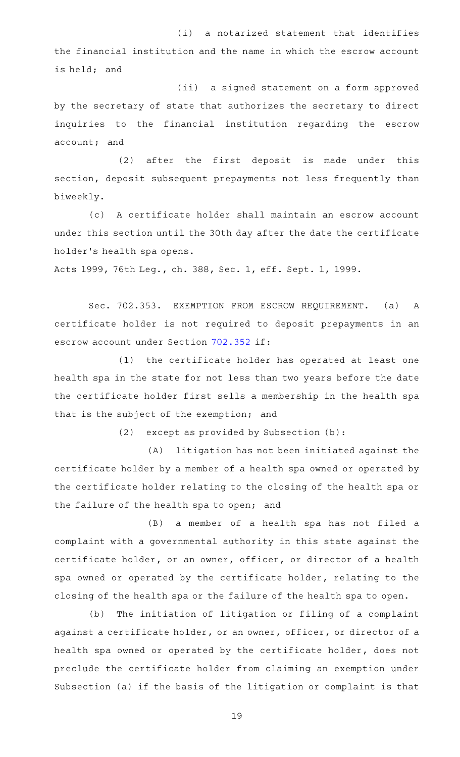(i) a notarized statement that identifies the financial institution and the name in which the escrow account is held; and

(ii) a signed statement on a form approved by the secretary of state that authorizes the secretary to direct inquiries to the financial institution regarding the escrow account; and

(2) after the first deposit is made under this section, deposit subsequent prepayments not less frequently than biweekly.

(c) A certificate holder shall maintain an escrow account under this section until the 30th day after the date the certificate holder 's health spa opens.

Acts 1999, 76th Leg., ch. 388, Sec. 1, eff. Sept. 1, 1999.

Sec. 702.353. EXEMPTION FROM ESCROW REQUIREMENT. (a) A certificate holder is not required to deposit prepayments in an escrow account under Section [702.352](http://www.statutes.legis.state.tx.us/GetStatute.aspx?Code=OC&Value=702.352) if:

(1) the certificate holder has operated at least one health spa in the state for not less than two years before the date the certificate holder first sells a membership in the health spa that is the subject of the exemption; and

 $(2)$  except as provided by Subsection  $(b):$ 

(A) litigation has not been initiated against the certificate holder by a member of a health spa owned or operated by the certificate holder relating to the closing of the health spa or the failure of the health spa to open; and

(B) a member of a health spa has not filed a complaint with a governmental authority in this state against the certificate holder, or an owner, officer, or director of a health spa owned or operated by the certificate holder, relating to the closing of the health spa or the failure of the health spa to open.

(b) The initiation of litigation or filing of a complaint against a certificate holder, or an owner, officer, or director of a health spa owned or operated by the certificate holder, does not preclude the certificate holder from claiming an exemption under Subsection (a) if the basis of the litigation or complaint is that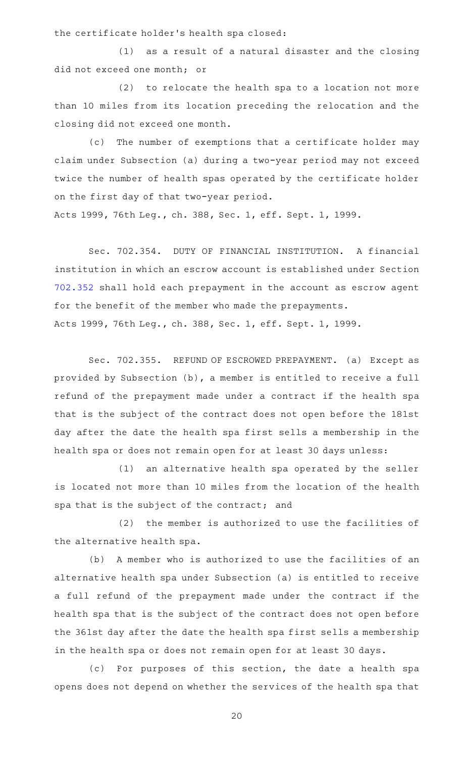the certificate holder 's health spa closed:

 $(1)$  as a result of a natural disaster and the closing did not exceed one month; or

(2) to relocate the health spa to a location not more than 10 miles from its location preceding the relocation and the closing did not exceed one month.

(c) The number of exemptions that a certificate holder may claim under Subsection (a) during a two-year period may not exceed twice the number of health spas operated by the certificate holder on the first day of that two-year period.

Acts 1999, 76th Leg., ch. 388, Sec. 1, eff. Sept. 1, 1999.

Sec. 702.354. DUTY OF FINANCIAL INSTITUTION. A financial institution in which an escrow account is established under Section [702.352](http://www.statutes.legis.state.tx.us/GetStatute.aspx?Code=OC&Value=702.352) shall hold each prepayment in the account as escrow agent for the benefit of the member who made the prepayments. Acts 1999, 76th Leg., ch. 388, Sec. 1, eff. Sept. 1, 1999.

Sec. 702.355. REFUND OF ESCROWED PREPAYMENT. (a) Except as provided by Subsection (b), a member is entitled to receive a full refund of the prepayment made under a contract if the health spa that is the subject of the contract does not open before the 181st day after the date the health spa first sells a membership in the health spa or does not remain open for at least 30 days unless:

(1) an alternative health spa operated by the seller is located not more than 10 miles from the location of the health spa that is the subject of the contract; and

(2) the member is authorized to use the facilities of the alternative health spa.

(b) A member who is authorized to use the facilities of an alternative health spa under Subsection (a) is entitled to receive a full refund of the prepayment made under the contract if the health spa that is the subject of the contract does not open before the 361st day after the date the health spa first sells a membership in the health spa or does not remain open for at least 30 days.

(c) For purposes of this section, the date a health spa opens does not depend on whether the services of the health spa that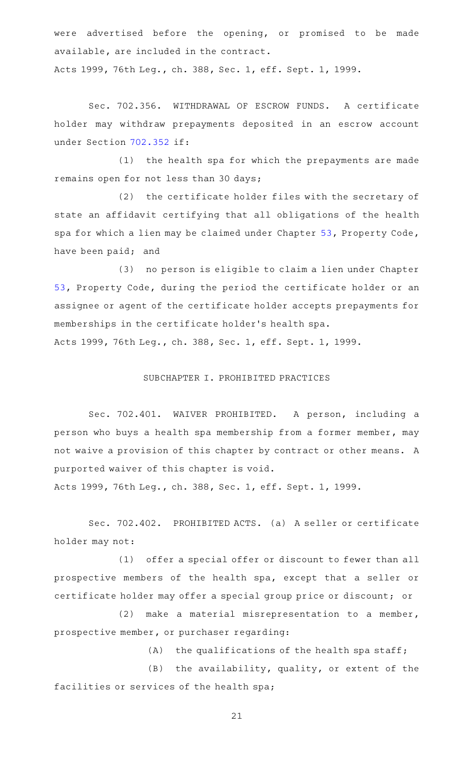were advertised before the opening, or promised to be made available, are included in the contract. Acts 1999, 76th Leg., ch. 388, Sec. 1, eff. Sept. 1, 1999.

Sec. 702.356. WITHDRAWAL OF ESCROW FUNDS. A certificate holder may withdraw prepayments deposited in an escrow account under Section [702.352](http://www.statutes.legis.state.tx.us/GetStatute.aspx?Code=OC&Value=702.352) if:

(1) the health spa for which the prepayments are made remains open for not less than 30 days;

(2) the certificate holder files with the secretary of state an affidavit certifying that all obligations of the health spa for which a lien may be claimed under Chapter [53,](http://www.statutes.legis.state.tx.us/GetStatute.aspx?Code=PR&Value=53) Property Code, have been paid; and

(3) no person is eligible to claim a lien under Chapter [53](http://www.statutes.legis.state.tx.us/GetStatute.aspx?Code=PR&Value=53), Property Code, during the period the certificate holder or an assignee or agent of the certificate holder accepts prepayments for memberships in the certificate holder 's health spa.

Acts 1999, 76th Leg., ch. 388, Sec. 1, eff. Sept. 1, 1999.

#### SUBCHAPTER I. PROHIBITED PRACTICES

Sec. 702.401. WAIVER PROHIBITED. A person, including a person who buys a health spa membership from a former member, may not waive a provision of this chapter by contract or other means. A purported waiver of this chapter is void.

Acts 1999, 76th Leg., ch. 388, Sec. 1, eff. Sept. 1, 1999.

Sec. 702.402. PROHIBITED ACTS. (a) A seller or certificate holder may not:

(1) offer a special offer or discount to fewer than all prospective members of the health spa, except that a seller or certificate holder may offer a special group price or discount; or

 $(2)$  make a material misrepresentation to a member, prospective member, or purchaser regarding:

 $(A)$  the qualifications of the health spa staff;

 $(B)$  the availability, quality, or extent of the facilities or services of the health spa;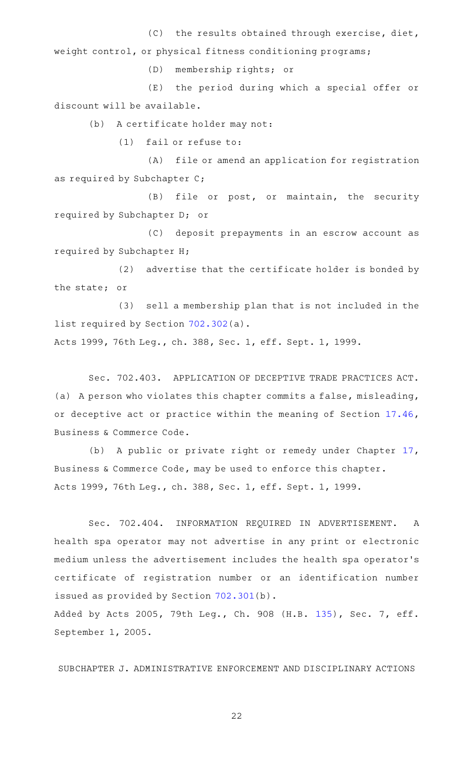$(C)$  the results obtained through exercise, diet, weight control, or physical fitness conditioning programs;

(D) membership rights; or

(E) the period during which a special offer or discount will be available.

(b) A certificate holder may not:

 $(1)$  fail or refuse to:

(A) file or amend an application for registration as required by Subchapter C;

(B) file or post, or maintain, the security required by Subchapter D; or

(C) deposit prepayments in an escrow account as required by Subchapter H;

(2) advertise that the certificate holder is bonded by the state; or

(3) sell a membership plan that is not included in the list required by Section [702.302](http://www.statutes.legis.state.tx.us/GetStatute.aspx?Code=OC&Value=702.302)(a).

Acts 1999, 76th Leg., ch. 388, Sec. 1, eff. Sept. 1, 1999.

Sec. 702.403. APPLICATION OF DECEPTIVE TRADE PRACTICES ACT. (a) A person who violates this chapter commits a false, misleading, or deceptive act or practice within the meaning of Section [17.46](http://www.statutes.legis.state.tx.us/GetStatute.aspx?Code=BC&Value=17.46), Business & Commerce Code.

(b) A public or private right or remedy under Chapter [17](http://www.statutes.legis.state.tx.us/GetStatute.aspx?Code=BC&Value=17), Business & Commerce Code, may be used to enforce this chapter. Acts 1999, 76th Leg., ch. 388, Sec. 1, eff. Sept. 1, 1999.

Sec. 702.404. INFORMATION REQUIRED IN ADVERTISEMENT. A health spa operator may not advertise in any print or electronic medium unless the advertisement includes the health spa operator 's certificate of registration number or an identification number issued as provided by Section [702.301\(](http://www.statutes.legis.state.tx.us/GetStatute.aspx?Code=OC&Value=702.301)b). Added by Acts 2005, 79th Leg., Ch. 908 (H.B. [135](http://www.legis.state.tx.us/tlodocs/79R/billtext/html/HB00135F.HTM)), Sec. 7, eff. September 1, 2005.

SUBCHAPTER J. ADMINISTRATIVE ENFORCEMENT AND DISCIPLINARY ACTIONS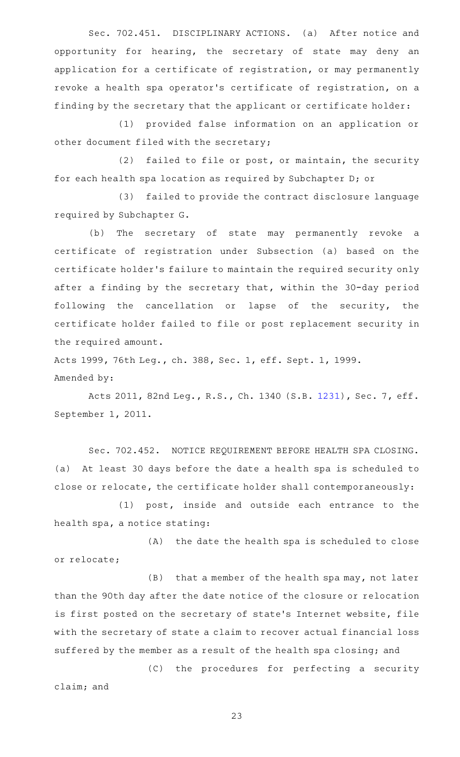Sec. 702.451. DISCIPLINARY ACTIONS. (a) After notice and opportunity for hearing, the secretary of state may deny an application for a certificate of registration, or may permanently revoke a health spa operator 's certificate of registration, on a finding by the secretary that the applicant or certificate holder:

(1) provided false information on an application or other document filed with the secretary;

(2) failed to file or post, or maintain, the security for each health spa location as required by Subchapter D; or

(3) failed to provide the contract disclosure language required by Subchapter G.

(b) The secretary of state may permanently revoke a certificate of registration under Subsection (a) based on the certificate holder 's failure to maintain the required security only after a finding by the secretary that, within the 30-day period following the cancellation or lapse of the security, the certificate holder failed to file or post replacement security in the required amount.

Acts 1999, 76th Leg., ch. 388, Sec. 1, eff. Sept. 1, 1999. Amended by:

Acts 2011, 82nd Leg., R.S., Ch. 1340 (S.B. [1231](http://www.legis.state.tx.us/tlodocs/82R/billtext/html/SB01231F.HTM)), Sec. 7, eff. September 1, 2011.

Sec. 702.452. NOTICE REQUIREMENT BEFORE HEALTH SPA CLOSING. (a) At least 30 days before the date a health spa is scheduled to close or relocate, the certificate holder shall contemporaneously:

 $(1)$  post, inside and outside each entrance to the health spa, a notice stating:

 $(A)$  the date the health spa is scheduled to close or relocate;

 $(B)$  that a member of the health spa may, not later than the 90th day after the date notice of the closure or relocation is first posted on the secretary of state's Internet website, file with the secretary of state a claim to recover actual financial loss suffered by the member as a result of the health spa closing; and

(C) the procedures for perfecting a security claim; and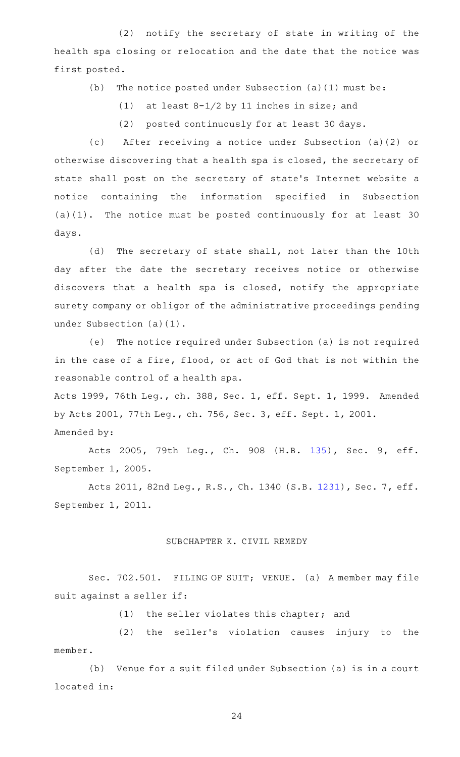(2) notify the secretary of state in writing of the health spa closing or relocation and the date that the notice was first posted.

(b) The notice posted under Subsection (a)(1) must be:

(1) at least  $8-1/2$  by 11 inches in size; and

(2) posted continuously for at least 30 days.

(c)AA After receiving a notice under Subsection (a)(2) or otherwise discovering that a health spa is closed, the secretary of state shall post on the secretary of state 's Internet website a notice containing the information specified in Subsection  $(a)(1)$ . The notice must be posted continuously for at least 30 days.

(d) The secretary of state shall, not later than the 10th day after the date the secretary receives notice or otherwise discovers that a health spa is closed, notify the appropriate surety company or obligor of the administrative proceedings pending under Subsection (a)(1).

(e) The notice required under Subsection (a) is not required in the case of a fire, flood, or act of God that is not within the reasonable control of a health spa.

Acts 1999, 76th Leg., ch. 388, Sec. 1, eff. Sept. 1, 1999. Amended by Acts 2001, 77th Leg., ch. 756, Sec. 3, eff. Sept. 1, 2001. Amended by:

Acts 2005, 79th Leg., Ch. 908 (H.B. [135\)](http://www.legis.state.tx.us/tlodocs/79R/billtext/html/HB00135F.HTM), Sec. 9, eff. September 1, 2005.

Acts 2011, 82nd Leg., R.S., Ch. 1340 (S.B. [1231](http://www.legis.state.tx.us/tlodocs/82R/billtext/html/SB01231F.HTM)), Sec. 7, eff. September 1, 2011.

### SUBCHAPTER K. CIVIL REMEDY

Sec. 702.501. FILING OF SUIT; VENUE. (a) A member may file suit against a seller if:

(1) the seller violates this chapter; and

(2) the seller's violation causes injury to the member.

(b) Venue for a suit filed under Subsection (a) is in a court located in: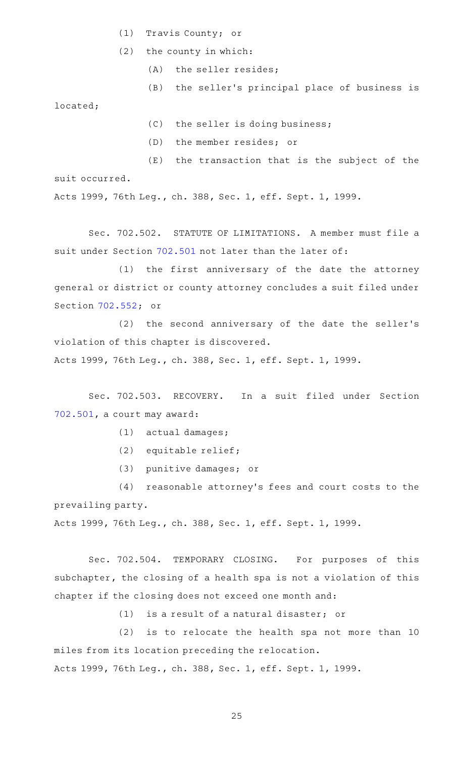- (1) Travis County; or
- $(2)$  the county in which:
	- (A) the seller resides;
	- (B) the seller's principal place of business is

located;

- $(C)$  the seller is doing business;
- (D) the member resides; or

 $(E)$  the transaction that is the subject of the suit occurred.

Acts 1999, 76th Leg., ch. 388, Sec. 1, eff. Sept. 1, 1999.

Sec. 702.502. STATUTE OF LIMITATIONS. A member must file a suit under Section [702.501](http://www.statutes.legis.state.tx.us/GetStatute.aspx?Code=OC&Value=702.501) not later than the later of:

(1) the first anniversary of the date the attorney general or district or county attorney concludes a suit filed under Section [702.552;](http://www.statutes.legis.state.tx.us/GetStatute.aspx?Code=OC&Value=702.552) or

(2) the second anniversary of the date the seller's violation of this chapter is discovered.

Acts 1999, 76th Leg., ch. 388, Sec. 1, eff. Sept. 1, 1999.

Sec. 702.503. RECOVERY. In a suit filed under Section [702.501,](http://www.statutes.legis.state.tx.us/GetStatute.aspx?Code=OC&Value=702.501) a court may award:

- (1) actual damages;
- (2) equitable relief;
- (3) punitive damages; or

(4) reasonable attorney's fees and court costs to the prevailing party.

Acts 1999, 76th Leg., ch. 388, Sec. 1, eff. Sept. 1, 1999.

Sec. 702.504. TEMPORARY CLOSING. For purposes of this subchapter, the closing of a health spa is not a violation of this chapter if the closing does not exceed one month and:

 $(1)$  is a result of a natural disaster; or

 $(2)$  is to relocate the health spa not more than 10 miles from its location preceding the relocation. Acts 1999, 76th Leg., ch. 388, Sec. 1, eff. Sept. 1, 1999.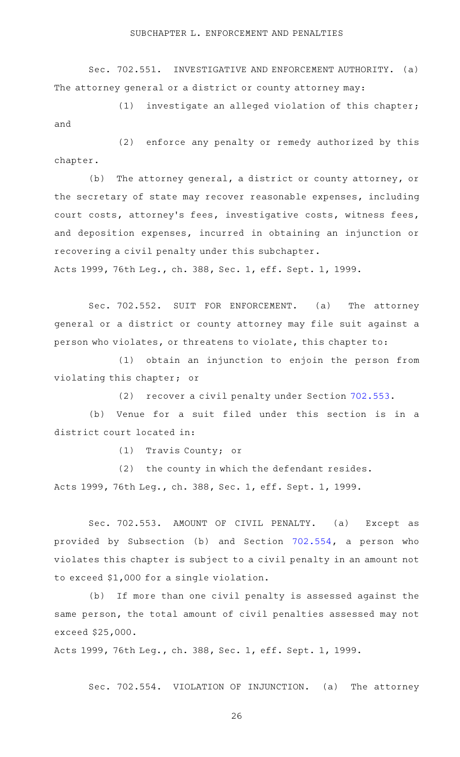Sec. 702.551. INVESTIGATIVE AND ENFORCEMENT AUTHORITY. (a) The attorney general or a district or county attorney may:

 $(1)$  investigate an alleged violation of this chapter; and

(2) enforce any penalty or remedy authorized by this chapter.

(b) The attorney general, a district or county attorney, or the secretary of state may recover reasonable expenses, including court costs, attorney 's fees, investigative costs, witness fees, and deposition expenses, incurred in obtaining an injunction or recovering a civil penalty under this subchapter.

Acts 1999, 76th Leg., ch. 388, Sec. 1, eff. Sept. 1, 1999.

Sec. 702.552. SUIT FOR ENFORCEMENT. (a) The attorney general or a district or county attorney may file suit against a person who violates, or threatens to violate, this chapter to:

(1) obtain an injunction to enjoin the person from violating this chapter; or

(2) recover a civil penalty under Section [702.553.](http://www.statutes.legis.state.tx.us/GetStatute.aspx?Code=OC&Value=702.553)

(b) Venue for a suit filed under this section is in a district court located in:

(1) Travis County; or

 $(2)$  the county in which the defendant resides. Acts 1999, 76th Leg., ch. 388, Sec. 1, eff. Sept. 1, 1999.

Sec. 702.553. AMOUNT OF CIVIL PENALTY. (a) Except as provided by Subsection (b) and Section [702.554](http://www.statutes.legis.state.tx.us/GetStatute.aspx?Code=OC&Value=702.554), a person who violates this chapter is subject to a civil penalty in an amount not to exceed \$1,000 for a single violation.

(b) If more than one civil penalty is assessed against the same person, the total amount of civil penalties assessed may not exceed \$25,000.

Acts 1999, 76th Leg., ch. 388, Sec. 1, eff. Sept. 1, 1999.

Sec. 702.554. VIOLATION OF INJUNCTION. (a) The attorney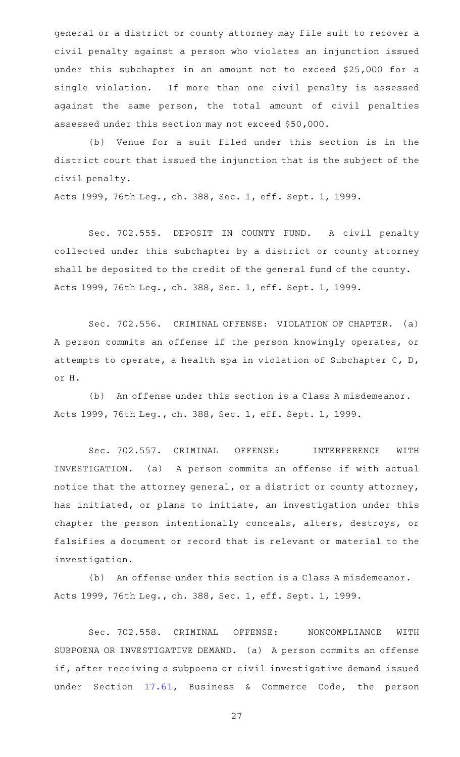general or a district or county attorney may file suit to recover a civil penalty against a person who violates an injunction issued under this subchapter in an amount not to exceed \$25,000 for a single violation. If more than one civil penalty is assessed against the same person, the total amount of civil penalties assessed under this section may not exceed \$50,000.

(b) Venue for a suit filed under this section is in the district court that issued the injunction that is the subject of the civil penalty.

Acts 1999, 76th Leg., ch. 388, Sec. 1, eff. Sept. 1, 1999.

Sec. 702.555. DEPOSIT IN COUNTY FUND. A civil penalty collected under this subchapter by a district or county attorney shall be deposited to the credit of the general fund of the county. Acts 1999, 76th Leg., ch. 388, Sec. 1, eff. Sept. 1, 1999.

Sec. 702.556. CRIMINAL OFFENSE: VIOLATION OF CHAPTER. (a) A person commits an offense if the person knowingly operates, or attempts to operate, a health spa in violation of Subchapter C, D, or H.

(b) An offense under this section is a Class A misdemeanor. Acts 1999, 76th Leg., ch. 388, Sec. 1, eff. Sept. 1, 1999.

Sec. 702.557. CRIMINAL OFFENSE: INTERFERENCE WITH INVESTIGATION. (a) A person commits an offense if with actual notice that the attorney general, or a district or county attorney, has initiated, or plans to initiate, an investigation under this chapter the person intentionally conceals, alters, destroys, or falsifies a document or record that is relevant or material to the investigation.

(b) An offense under this section is a Class A misdemeanor. Acts 1999, 76th Leg., ch. 388, Sec. 1, eff. Sept. 1, 1999.

Sec. 702.558. CRIMINAL OFFENSE: NONCOMPLIANCE WITH SUBPOENA OR INVESTIGATIVE DEMAND. (a) A person commits an offense if, after receiving a subpoena or civil investigative demand issued under Section [17.61](http://www.statutes.legis.state.tx.us/GetStatute.aspx?Code=BC&Value=17.61), Business & Commerce Code, the person